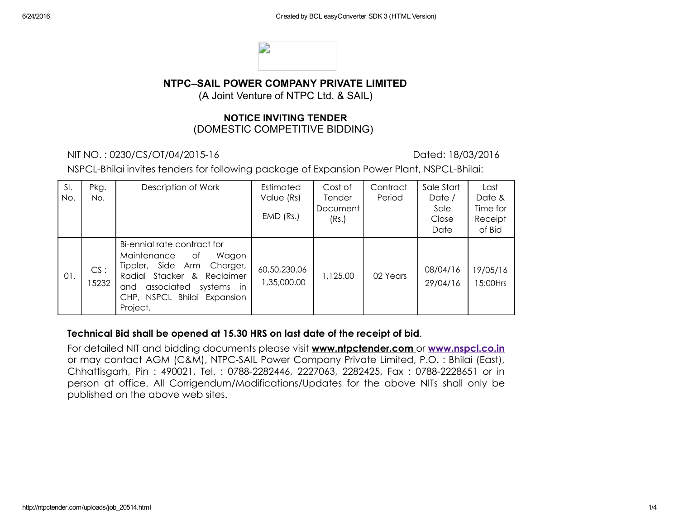

## NTPC–SAIL POWER COMPANY PRIVATE LIMITED

(A Joint Venture of NTPC Ltd. & SAIL)

### NOTICE INVITING TENDER (DOMESTIC COMPETITIVE BIDDING)

NIT NO. : 0230/CS/OT/04/201516 Dated: 18/03/2016

NSPCL-Bhilai invites tenders for following package of Expansion Power Plant, NSPCL-Bhilai:

| SI.<br>No. | Pkg.<br>No.  | Description of Work                                                                                                                                                                                    | Estimated<br>Value (Rs)     | Cost of<br>Tender | Contract<br>Period | Sale Start<br>Date /  | Last<br>Date &                |
|------------|--------------|--------------------------------------------------------------------------------------------------------------------------------------------------------------------------------------------------------|-----------------------------|-------------------|--------------------|-----------------------|-------------------------------|
|            |              |                                                                                                                                                                                                        | $EMD$ (Rs.)                 | Document<br>(Rs.) |                    | Sale<br>Close<br>Date | Time for<br>Receipt<br>of Bid |
| 01.        | CS:<br>15232 | Bi-ennial rate contract for<br>Maintenance<br>Wagon<br>of<br>Tippler, Side Arm<br>Charger,<br>Radial Stacker & Reclaimer<br>associated<br>systems in<br>and<br>CHP, NSPCL Bhilai Expansion<br>Project. | 60,50,230.06<br>1,35,000.00 | 1,125.00          | 02 Years           | 08/04/16<br>29/04/16  | 19/05/16<br>15:00Hrs          |

#### Technical Bid shall be opened at 15.30 HRS on last date of the receipt of bid.

For detailed NIT and bidding documents please visit www.ntpctender.com or [www.nspcl.co.in](http://www.nspcl.co.in/) or may contact AGM (C&M), NTPC-SAIL Power Company Private Limited, P.O. : Bhilai (East), Chhattisgarh, Pin: 490021, Tel.: 0788-2282446, 2227063, 2282425, Fax: 0788-2228651 or in person at office. All Corrigendum/Modifications/Updates for the above NITs shall only be published on the above web sites.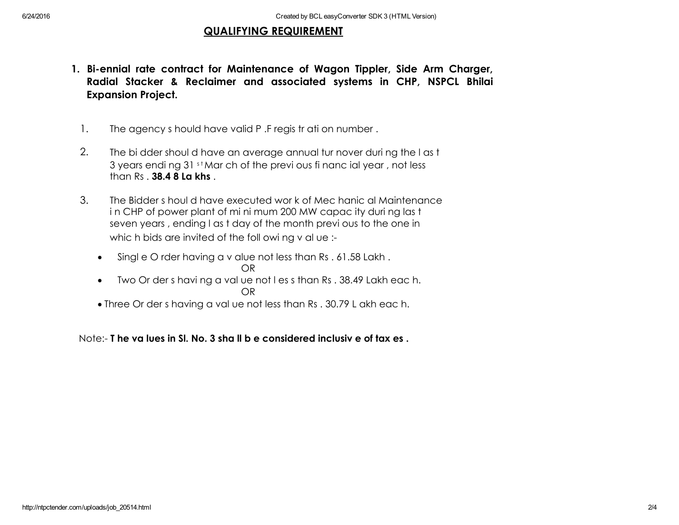## QUALIFYING REQUIREMENT

- 1. Bi-ennial rate contract for Maintenance of Wagon Tippler, Side Arm Charger, Radial Stacker & Reclaimer and associated systems in CHP, NSPCL Bhilai Expansion Project.
	- 1. The agency s hould have valid P. Fregist ration number.
	- 2. The bi dder shoul d have an average annual tur nover during the last 3 years endi ng 31 st Mar ch of the previ ous fi nanc ial year, not less than Rs . 38.4 8 La khs .
	- 3. The Bidder s houl d have executed wor k of Mec hanic al Maintenance in CHP of power plant of mi ni mum 200 MW capac ity duri ng las t seven years , ending l as t day of the month previ ous to the one in whic h bids are invited of the foll owi ng v al ue :-
		- Singl e O rder having a v alue not less than Rs . 61.58 Lakh . OR
			-
		- Two Or der s havi ng a val ue not l es s than Rs . 38.49 Lakh eac h. OR
		- Three Or der s having a val ue not less than Rs . 30.79 L akh eac h.

Note: T he va lues in Sl. No. 3 sha ll b e considered inclusiv e of tax es .